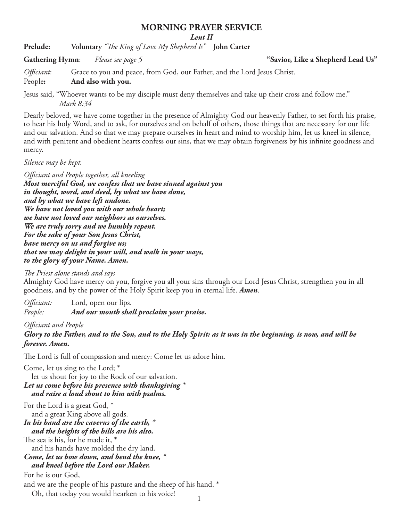# **MORNING PRAYER SERVICE**

*Lent II*

**Prelude: Voluntary** *"The King of Love My Shepherd Is"* **John Carter**

**Gathering Hymn**: *Please see page 5* **"Savior, Like a Shepherd Lead Us"** 

*Officiant*: Grace to you and peace, from God, our Father, and the Lord Jesus Christ. People**: And also with you.**

Jesus said, "Whoever wants to be my disciple must deny themselves and take up their cross and follow me." *Mark 8:34*

Dearly beloved, we have come together in the presence of Almighty God our heavenly Father, to set forth his praise, to hear his holy Word, and to ask, for ourselves and on behalf of others, those things that are necessary for our life and our salvation. And so that we may prepare ourselves in heart and mind to worship him, let us kneel in silence, and with penitent and obedient hearts confess our sins, that we may obtain forgiveness by his infinite goodness and mercy.

*Silence may be kept.*

*Officiant and People together, all kneeling Most merciful God, we confess that we have sinned against you in thought, word, and deed, by what we have done, and by what we have left undone. We have not loved you with our whole heart; we have not loved our neighbors as ourselves. We are truly sorry and we humbly repent. For the sake of your Son Jesus Christ, have mercy on us and forgive us; that we may delight in your will, and walk in your ways, to the glory of your Name. Amen.*

*The Priest alone stands and says*

Almighty God have mercy on you, forgive you all your sins through our Lord Jesus Christ, strengthen you in all goodness, and by the power of the Holy Spirit keep you in eternal life. *Amen*.

*Officiant:* Lord, open our lips. *People: And our mouth shall proclaim your praise.*

*Officiant and People*

*Glory to the Father, and to the Son, and to the Holy Spirit: as it was in the beginning, is now, and will be forever. Amen.*

The Lord is full of compassion and mercy: Come let us adore him.

Come, let us sing to the Lord; \* let us shout for joy to the Rock of our salvation. *Let us come before his presence with thanksgiving \* and raise a loud shout to him with psalms.*

For the Lord is a great God, \* and a great King above all gods.

*In his hand are the caverns of the earth, \* and the heights of the hills are his also.*

The sea is his, for he made it, \*

and his hands have molded the dry land.

*Come, let us bow down, and bend the knee, \* and kneel before the Lord our Maker.*

For he is our God,

and we are the people of his pasture and the sheep of his hand. \*

Oh, that today you would hearken to his voice!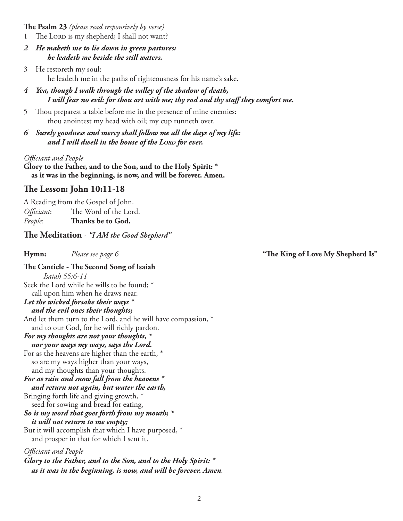**The Psalm 23** *(please read responsively by verse)*

- 1 The LORD is my shepherd; I shall not want?
- *2 He maketh me to lie down in green pastures: he leadeth me beside the still waters.*
- 3 He restoreth my soul: he leadeth me in the paths of righteousness for his name's sake.
- *4 Yea, though I walk through the valley of the shadow of death, I will fear no evil: for thou art with me; thy rod and thy staff they comfort me.*
- 5 Thou preparest a table before me in the presence of mine enemies: thou anointest my head with oil; my cup runneth over.
- *6 Surely goodness and mercy shall follow me all the days of my life: and I will dwell in the house of the LORD for ever.*

### *Officiant and People*

**Glory to the Father, and to the Son, and to the Holy Spirit: \* as it was in the beginning, is now, and will be forever. Amen.**

## **The Lesson: John 10:11-18**

|            | A Reading from the Gospel of John. |
|------------|------------------------------------|
| Officiant: | The Word of the Lord.              |
| People:    | Thanks be to God.                  |

### **The Meditation** - *"I AM the Good Shepherd"*

**Hymn:** *Please see page 6* **"The King of Love My Shepherd Is"**

**The Canticle - The Second Song of Isaiah**  *Isaiah 55:6-11* Seek the Lord while he wills to be found; \* call upon him when he draws near. *Let the wicked forsake their ways \* and the evil ones their thoughts;* And let them turn to the Lord, and he will have compassion, \* and to our God, for he will richly pardon. *For my thoughts are not your thoughts, \* nor your ways my ways, says the Lord.* For as the heavens are higher than the earth, \* so are my ways higher than your ways, and my thoughts than your thoughts. *For as rain and snow fall from the heavens \* and return not again, but water the earth,* Bringing forth life and giving growth, \* seed for sowing and bread for eating, *So is my word that goes forth from my mouth; \* it will not return to me empty;* But it will accomplish that which I have purposed, \* and prosper in that for which I sent it. *Officiant and People Glory to the Father, and to the Son, and to the Holy Spirit: \* as it was in the beginning, is now, and will be forever. Amen.*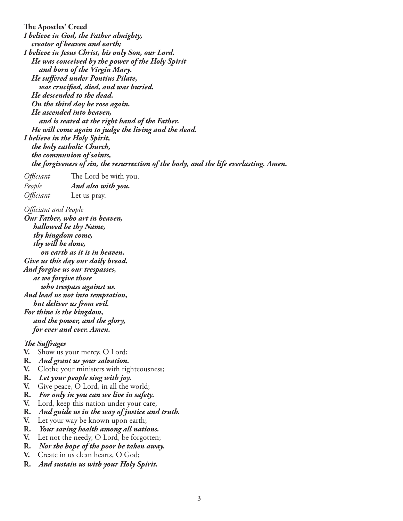**The Apostles' Creed** *I believe in God, the Father almighty, creator of heaven and earth; I believe in Jesus Christ, his only Son, our Lord. He was conceived by the power of the Holy Spirit and born of the Virgin Mary. He suffered under Pontius Pilate, was crucified, died, and was buried. He descended to the dead. On the third day he rose again. He ascended into heaven, and is seated at the right hand of the Father. He will come again to judge the living and the dead. I believe in the Holy Spirit, the holy catholic Church, the communion of saints, the forgiveness of sin, the resurrection of the body, and the life everlasting. Amen.*

| <i>Officiant</i> | The Lord be with you. |
|------------------|-----------------------|
| People           | And also with you.    |
| <i>Officiant</i> | Let us pray.          |

### *Officiant and People*

*Our Father, who art in heaven, hallowed be thy Name, thy kingdom come, thy will be done, on earth as it is in heaven. Give us this day our daily bread. And forgive us our trespasses, as we forgive those who trespass against us. And lead us not into temptation, but deliver us from evil. For thine is the kingdom, and the power, and the glory, for ever and ever. Amen.*

### *The Suffrages*

- **V.** Show us your mercy, O Lord;
- **R.** *And grant us your salvation.*
- **V.** Clothe your ministers with righteousness;
- **R.** *Let your people sing with joy.*
- **V.** Give peace, O Lord, in all the world;
- **R.** *For only in you can we live in safety.*
- **V.** Lord, keep this nation under your care;
- **R.** *And guide us in the way of justice and truth.*
- **V.** Let your way be known upon earth;
- **R.** *Your saving health among all nations.*
- **V.** Let not the needy, O Lord, be forgotten;
- **R.** *Nor the hope of the poor be taken away.*
- **V.** Create in us clean hearts, O God;
- **R.** *And sustain us with your Holy Spirit.*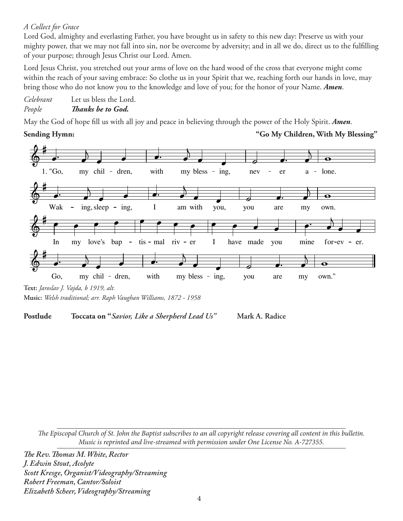# *A Collect for Grace*

Lord God, almighty and everlasting Father, you have brought us in safety to this new day: Preserve us with your mighty power, that we may not fall into sin, nor be overcome by adversity; and in all we do, direct us to the fulfilling of your purpose; through Jesus Christ our Lord. Amen.

Lord Jesus Christ, you stretched out your arms of love on the hard wood of the cross that everyone might come within the reach of your saving embrace: So clothe us in your Spirit that we, reaching forth our hands in love, may bring those who do not know you to the knowledge and love of you; for the honor of your Name. *Amen*.

| Celebrant | Let us bless the Lord. |
|-----------|------------------------|
| People    | Thanks be to God.      |

May the God of hope fill us with all joy and peace in believing through the power of the Holy Spirit. *Amen*.

**Sending Hymn: "Go My Children, With My Blessing"**



**Music:** *Welsh traditional; arr. Raph Vaughan Williams, 1872 - 1958*

**Postlude Toccata on "***Savior, Like a Sherpherd Lead Us"* **Mark A. Radice**

*The Episcopal Church of St. John the Baptist subscribes to an all copyright release covering all content in this bulletin. Music is reprinted and live-streamed with permission under One License No. A-727355.*

*The Rev. Thomas M. White, Rector J. Edwin Stout, Acolyte Scott Kresge, Organist/Videography/Streaming Robert Freeman, Cantor/Soloist Elizabeth Scheer, Videography/Streaming*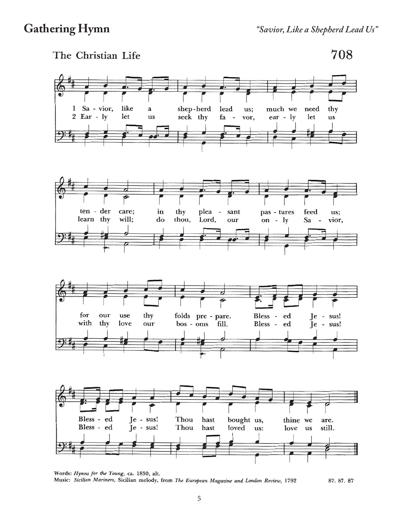# The Christian Life

708



Words: Hymns for the Young, ca. 1830, alt. Music: Sicilian Mariners, Sicilian melody, from The European Magazine and London Review, 1792 87.87.87